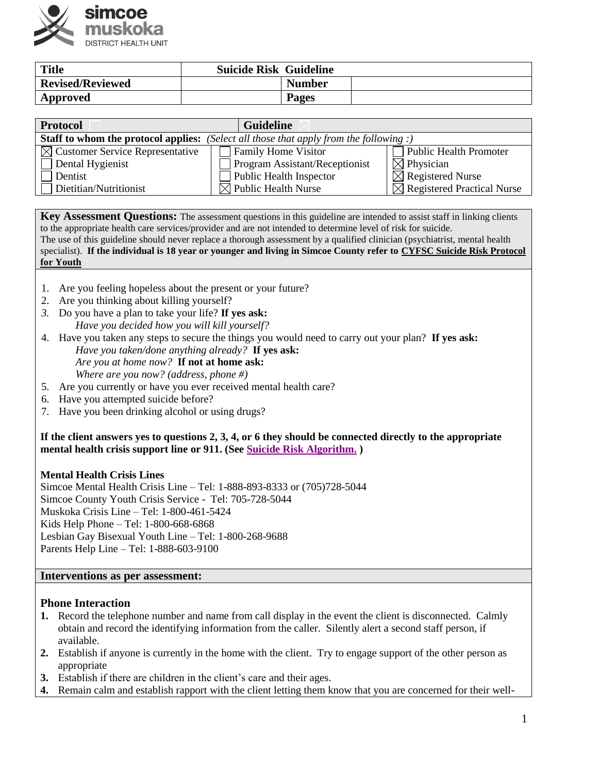

| <b>Title</b>            | <b>Suicide Risk Guideline</b> |               |  |
|-------------------------|-------------------------------|---------------|--|
| <b>Revised/Reviewed</b> |                               | <b>Number</b> |  |
| Approved                |                               | <b>Pages</b>  |  |

| <b>Protocol</b>                             | <b>Guideline</b>                                   |                                        |
|---------------------------------------------|----------------------------------------------------|----------------------------------------|
| Staff to whom the protocol applies:         | (Select all those that apply from the following :) |                                        |
| $\boxtimes$ Customer Service Representative | <b>Family Home Visitor</b>                         | <b>Public Health Promoter</b>          |
| Dental Hygienist                            | <b>Program Assistant/Receptionist</b>              | $\boxtimes$ Physician                  |
| Dentist                                     | Public Health Inspector                            | $\boxtimes$ Registered Nurse           |
| Dietitian/Nutritionist                      | $\boxtimes$ Public Health Nurse                    | $\boxtimes$ Registered Practical Nurse |

**Key Assessment Questions:** The assessment questions in this guideline are intended to assist staff in linking clients to the appropriate health care services/provider and are not intended to determine level of risk for suicide.

The use of this guideline should never replace a thorough assessment by a qualified clinician (psychiatrist, mental health specialist). **If the individual is 18 year or younger and living in Simcoe County refer to [CYFSC Suicide Risk Protocol](http://www.simcoecountycoalition.ca/wp-content/uploads/2016/06/Suicide-Risk-Protocol-For-Youth-Ver-3-11-December-2015.pdfFINAL.pdf)  [for Youth](http://intranet.smdhu.net/Portals/Services/HealthyLiving/Programs/HealthySchools/CYFSCSuicideRiskProtocol.aspx)**

- 1. Are you feeling hopeless about the present or your future?
- 2. Are you thinking about killing yourself?
- *3.* Do you have a plan to take your life? **If yes ask:** *Have you decided how you will kill yourself?*
- 4. Have you taken any steps to secure the things you would need to carry out your plan? **If yes ask:** *Have you taken/done anything already?* **If yes ask:** *Are you at home now?* **If not at home ask:** 
	- *Where are you now? (address, phone #)*
- 5. Are you currently or have you ever received mental health care?
- 6. Have you attempted suicide before?
- 7. Have you been drinking alcohol or using drugs?

**If the client answers yes to questions 2, 3, 4, or 6 they should be connected directly to the appropriate mental health crisis support line or 911. (See [Suicide Risk Algorithm.](http://intranet.smdhu.net/Libraries/Agency/SuicideTraigeAlgorithm.sflb.ashx) )**

### **Mental Health Crisis Lines**

Simcoe Mental Health Crisis Line – Tel: 1-888-893-8333 or (705)728-5044 Simcoe County Youth Crisis Service - Tel: 705-728-5044 Muskoka Crisis Line – Tel: 1-800-461-5424 Kids Help Phone – Tel: 1-800-668-6868 Lesbian Gay Bisexual Youth Line – Tel: 1-800-268-9688 Parents Help Line – Tel: 1-888-603-9100

#### **Interventions as per assessment:**

### **Phone Interaction**

- **1.** Record the telephone number and name from call display in the event the client is disconnected. Calmly obtain and record the identifying information from the caller. Silently alert a second staff person, if available.
- **2.** Establish if anyone is currently in the home with the client. Try to engage support of the other person as appropriate
- **3.** Establish if there are children in the client's care and their ages.
- **4.** Remain calm and establish rapport with the client letting them know that you are concerned for their well-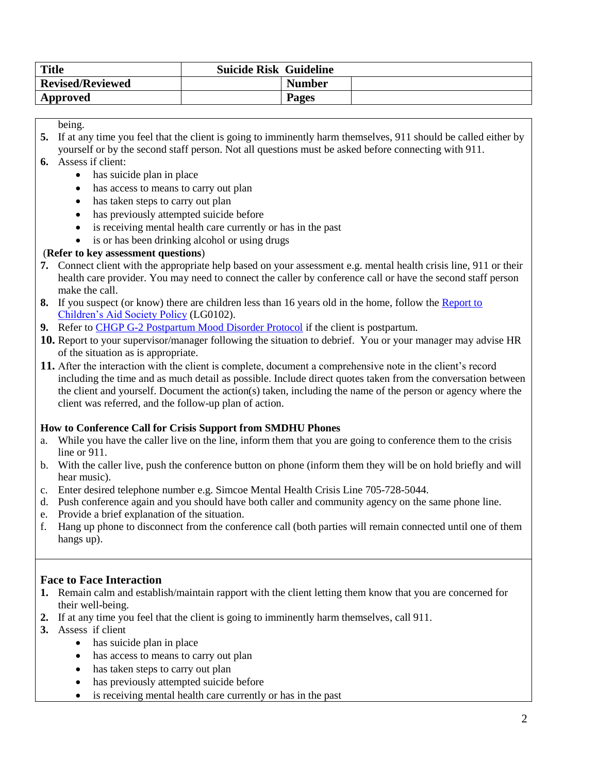| <b>Title</b>            | <b>Suicide Risk Guideline</b> |               |  |
|-------------------------|-------------------------------|---------------|--|
| <b>Revised/Reviewed</b> |                               | <b>Number</b> |  |
| Approved                |                               | <b>Pages</b>  |  |

being.

- **5.** If at any time you feel that the client is going to imminently harm themselves, 911 should be called either by yourself or by the second staff person. Not all questions must be asked before connecting with 911.
- **6.** Assess if client:
	- has suicide plan in place
	- has access to means to carry out plan
	- has taken steps to carry out plan
	- has previously attempted suicide before
	- is receiving mental health care currently or has in the past
	- is or has been drinking alcohol or using drugs

### (**Refer to key assessment questions**)

- **7.** Connect client with the appropriate help based on your assessment e.g. mental health crisis line, 911 or their health care provider. You may need to connect the caller by conference call or have the second staff person make the call.
- **8.** If you suspect (or know) there are children less than 16 years old in the home, follow the [Report to](http://intranet.smdhu.net/BylawsAndPolicies/LegalProfessionalPractice/LG0102.aspx)  [Children's Aid Society Policy](http://intranet.smdhu.net/BylawsAndPolicies/LegalProfessionalPractice/LG0102.aspx) (LG0102).
- **9.** Refer to [CHGP G-2 Postpartum Mood Disorder Protocol](http://intranet.smdhu.net/Portals/Services/FamilyHealth/CHGP/Other/ppmd.aspx) if the client is postpartum.
- **10.** Report to your supervisor/manager following the situation to debrief. You or your manager may advise HR of the situation as is appropriate.
- **11.** After the interaction with the client is complete, document a comprehensive note in the client's record including the time and as much detail as possible. Include direct quotes taken from the conversation between the client and yourself. Document the action(s) taken, including the name of the person or agency where the client was referred, and the follow-up plan of action.

### **How to Conference Call for Crisis Support from SMDHU Phones**

- a. While you have the caller live on the line, inform them that you are going to conference them to the crisis line or 911.
- b. With the caller live, push the conference button on phone (inform them they will be on hold briefly and will hear music).
- c. Enter desired telephone number e.g. Simcoe Mental Health Crisis Line 705-728-5044.
- d. Push conference again and you should have both caller and community agency on the same phone line.
- e. Provide a brief explanation of the situation.
- f. Hang up phone to disconnect from the conference call (both parties will remain connected until one of them hangs up).

### **Face to Face Interaction**

- **1.** Remain calm and establish/maintain rapport with the client letting them know that you are concerned for their well-being.
- **2.** If at any time you feel that the client is going to imminently harm themselves, call 911.
- **3.** Assess if client
	- has suicide plan in place
	- has access to means to carry out plan
	- has taken steps to carry out plan
	- has previously attempted suicide before
	- is receiving mental health care currently or has in the past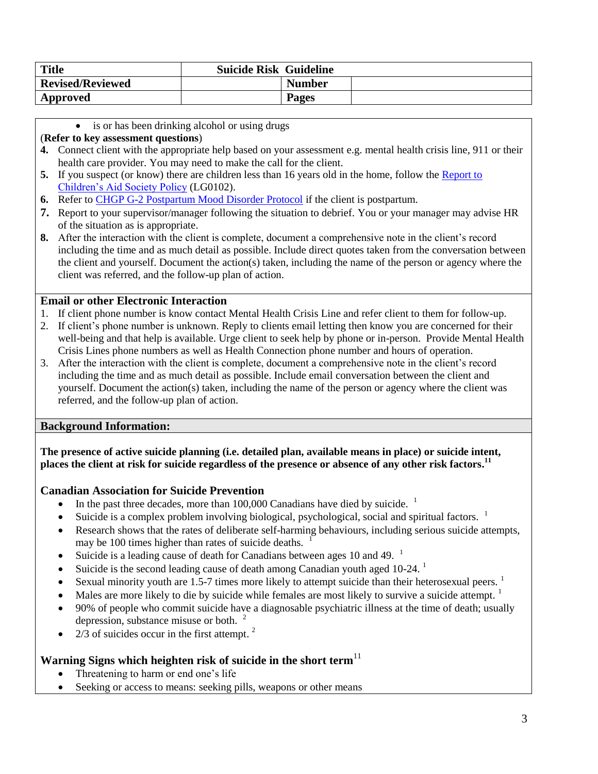| <b>Title</b>            | <b>Suicide Risk Guideline</b> |               |  |
|-------------------------|-------------------------------|---------------|--|
| <b>Revised/Reviewed</b> |                               | <b>Number</b> |  |
| Approved                |                               | <b>Pages</b>  |  |

• is or has been drinking alcohol or using drugs

### (**Refer to key assessment questions**)

- **4.** Connect client with the appropriate help based on your assessment e.g. mental health crisis line, 911 or their health care provider. You may need to make the call for the client.
- **5.** If you suspect (or know) there are children less than 16 years old in the home, follow the [Report to](http://intranet.smdhu.net/BylawsAndPolicies/LegalProfessionalPractice/LG0102.aspx)  [Children's Aid Society Policy](http://intranet.smdhu.net/BylawsAndPolicies/LegalProfessionalPractice/LG0102.aspx) (LG0102).
- **6.** Refer to [CHGP G-2 Postpartum Mood Disorder Protocol](http://intranet.smdhu.net/Portals/Services/FamilyHealth/CHGP/Other/ppmd.aspx) if the client is postpartum.
- **7.** Report to your supervisor/manager following the situation to debrief. You or your manager may advise HR of the situation as is appropriate.
- **8.** After the interaction with the client is complete, document a comprehensive note in the client's record including the time and as much detail as possible. Include direct quotes taken from the conversation between the client and yourself. Document the action(s) taken, including the name of the person or agency where the client was referred, and the follow-up plan of action.

# **Email or other Electronic Interaction**

- 1. If client phone number is know contact Mental Health Crisis Line and refer client to them for follow-up.
- 2. If client's phone number is unknown. Reply to clients email letting then know you are concerned for their well-being and that help is available. Urge client to seek help by phone or in-person. Provide Mental Health Crisis Lines phone numbers as well as Health Connection phone number and hours of operation.
- 3. After the interaction with the client is complete, document a comprehensive note in the client's record including the time and as much detail as possible. Include email conversation between the client and yourself. Document the action(s) taken, including the name of the person or agency where the client was referred, and the follow-up plan of action.

### **Background Information:**

**The presence of active suicide planning (i.e. detailed plan, available means in place) or suicide intent, places the client at risk for suicide regardless of the presence or absence of any other risk factors. 11**

# **Canadian Association for Suicide Prevention**

- In the past three decades, more than  $100,000$  Canadians have died by suicide. <sup>1</sup>
- Suicide is a complex problem involving biological, psychological, social and spiritual factors.  $1$
- Research shows that the rates of deliberate self-harming behaviours, including serious suicide attempts, may be 100 times higher than rates of suicide deaths.
- Suicide is a leading cause of death for Canadians between ages 10 and 49.  $<sup>1</sup>$ </sup>
- Suicide is the second leading cause of death among Canadian youth aged  $10-24$ .<sup>1</sup>
- Sexual minority youth are 1.5-7 times more likely to attempt suicide than their heterosexual peers.  $1$
- $\bullet$  Males are more likely to die by suicide while females are most likely to survive a suicide attempt.
- 90% of people who commit suicide have a diagnosable psychiatric illness at the time of death; usually depression, substance misuse or both. 2
- 2/3 of suicides occur in the first attempt.<sup>2</sup>

# **Warning Signs which heighten risk of suicide in the short term**<sup>11</sup>

- Threatening to harm or end one's life
- Seeking or access to means: seeking pills, weapons or other means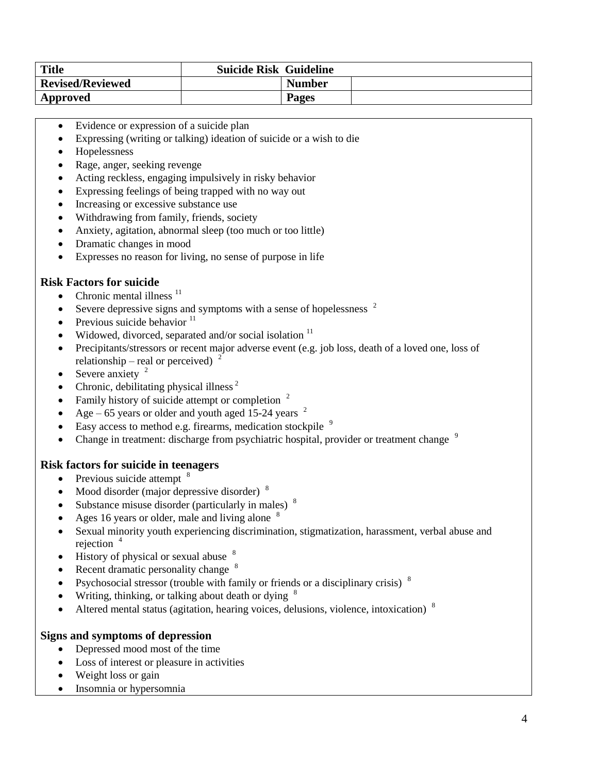| <b>Title</b>            | <b>Suicide Risk Guideline</b> |               |
|-------------------------|-------------------------------|---------------|
| <b>Revised/Reviewed</b> |                               | <b>Number</b> |
| Approved                |                               | <b>Pages</b>  |

- Evidence or expression of a suicide plan
- Expressing (writing or talking) ideation of suicide or a wish to die
- Hopelessness
- Rage, anger, seeking revenge
- Acting reckless, engaging impulsively in risky behavior
- Expressing feelings of being trapped with no way out
- Increasing or excessive substance use
- Withdrawing from family, friends, society
- Anxiety, agitation, abnormal sleep (too much or too little)
- Dramatic changes in mood
- Expresses no reason for living, no sense of purpose in life

### **Risk Factors for suicide**

- Chronic mental illness  $<sup>11</sup>$ </sup>
- Severe depressive signs and symptoms with a sense of hopelessness  $2\overline{a}$
- $\bullet$  Previous suicide behavior  $^{11}$
- Widowed, divorced, separated and/or social isolation  $11$
- Precipitants/stressors or recent major adverse event (e.g. job loss, death of a loved one, loss of relationship – real or perceived)<sup>2</sup>
- Severe anxiety  $2$
- Chronic, debilitating physical illness  $2^2$
- Family history of suicide attempt or completion  $2$
- Age 65 years or older and youth aged 15-24 years  $2$
- Easy access to method e.g. firearms, medication stockpile  $9$
- Change in treatment: discharge from psychiatric hospital, provider or treatment change  $9$

### **Risk factors for suicide in teenagers**

- $\bullet$  Previous suicide attempt  $8$
- Mood disorder (major depressive disorder)  $8$
- Substance misuse disorder (particularly in males)  $\delta$
- Ages 16 years or older, male and living alone  $8$
- Sexual minority youth experiencing discrimination, stigmatization, harassment, verbal abuse and rejection  $4$
- $\bullet$  History of physical or sexual abuse  $8$
- Recent dramatic personality change  $8$
- Psychosocial stressor (trouble with family or friends or a disciplinary crisis)  $8$
- Writing, thinking, or talking about death or dying  $8$
- Altered mental status (agitation, hearing voices, delusions, violence, intoxication)  $8$

### **Signs and symptoms of depression**

- Depressed mood most of the time
- Loss of interest or pleasure in activities
- Weight loss or gain
- Insomnia or hypersomnia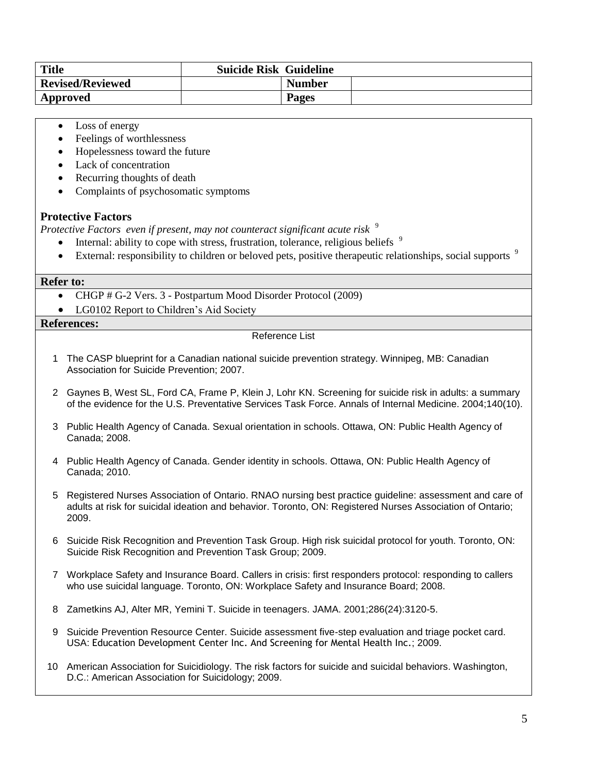| <b>Title</b>            | <b>Suicide Risk Guideline</b> |               |  |
|-------------------------|-------------------------------|---------------|--|
| <b>Revised/Reviewed</b> |                               | <b>Number</b> |  |
| Approved                |                               | <b>Pages</b>  |  |

- Loss of energy
- Feelings of worthlessness
- Hopelessness toward the future
- Lack of concentration
- Recurring thoughts of death
- Complaints of psychosomatic symptoms

### **Protective Factors**

*Protective Factors even if present, may not counteract significant acute risk*  9

- Internal: ability to cope with stress, frustration, tolerance, religious beliefs  $\frac{9}{2}$
- External: responsibility to children or beloved pets, positive therapeutic relationships, social supports  $9$

#### **Refer to:**

- CHGP # G-2 Vers. 3 Postpartum Mood Disorder Protocol (2009)
- LG0102 Report to Children's Aid Society

### **References:**

#### Reference List

- 1 The CASP blueprint for a Canadian national suicide prevention strategy. Winnipeg, MB: Canadian Association for Suicide Prevention; 2007.
- 2 Gaynes B, West SL, Ford CA, Frame P, Klein J, Lohr KN. Screening for suicide risk in adults: a summary of the evidence for the U.S. Preventative Services Task Force. Annals of Internal Medicine. 2004;140(10).
- 3 Public Health Agency of Canada. Sexual orientation in schools. Ottawa, ON: Public Health Agency of Canada; 2008.
- 4 Public Health Agency of Canada. Gender identity in schools. Ottawa, ON: Public Health Agency of Canada; 2010.
- 5 Registered Nurses Association of Ontario. RNAO nursing best practice guideline: assessment and care of adults at risk for suicidal ideation and behavior. Toronto, ON: Registered Nurses Association of Ontario; 2009.
- 6 Suicide Risk Recognition and Prevention Task Group. High risk suicidal protocol for youth. Toronto, ON: Suicide Risk Recognition and Prevention Task Group; 2009.
- 7 Workplace Safety and Insurance Board. Callers in crisis: first responders protocol: responding to callers who use suicidal language. Toronto, ON: Workplace Safety and Insurance Board; 2008.
- 8 Zametkins AJ, Alter MR, Yemini T. Suicide in teenagers. JAMA. 2001;286(24):3120-5.
- 9 Suicide Prevention Resource Center. Suicide assessment five-step evaluation and triage pocket card. USA: Education Development Center Inc. And Screening for Mental Health Inc.; 2009.
- 10 American Association for Suicidiology. The risk factors for suicide and suicidal behaviors. Washington, D.C.: American Association for Suicidology; 2009.